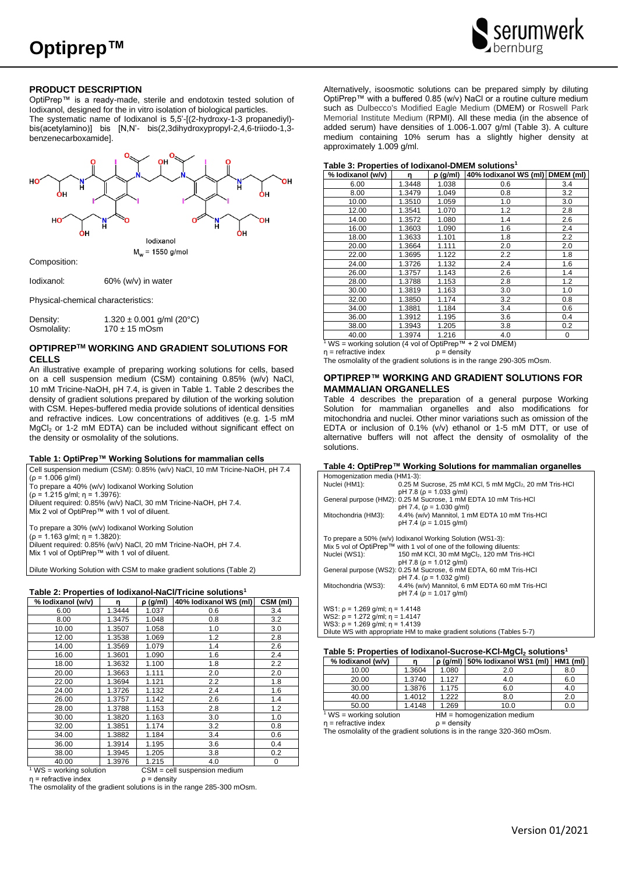

# **PRODUCT DESCRIPTION**

OptiPrep™ is a ready-made, sterile and endotoxin tested solution of Iodixanol, designed for the in vitro isolation of biological particles. The systematic name of Iodixanol is 5,5'-[(2-hydroxy-1-3 propanediyl) bis(acetylamino)] bis [N,N'- bis(2,3dihydroxypropyl-2,4,6-triiodo-1,3 benzenecarboxamide].



# Composition:

Iodixanol: 60% (w/v) in water

Physical-chemical characteristics:

| Density:    | $1.320 \pm 0.001$ g/ml (20°C) |
|-------------|-------------------------------|
| Osmolality: | $170 \pm 15 \text{ mOsm}$     |

# **OPTIPREPTM WORKING AND GRADIENT SOLUTIONS FOR CELLS**

An illustrative example of preparing working solutions for cells, based on a cell suspension medium (CSM) containing 0.85% (w/v) NaCl, 10 mM Tricine-NaOH, pH 7.4, is given in Table 1. Table 2 describes the density of gradient solutions prepared by dilution of the working solution with CSM. Hepes-buffered media provide solutions of identical densities and refractive indices. Low concentrations of additives (e.g. 1-5 mM MgCl<sub>2</sub> or 1-2 mM EDTA) can be included without significant effect on the density or osmolality of the solutions.

#### **Table 1: OptiPrep™ Working Solutions for mammalian cells**

| Cell suspension medium (CSM): 0.85% (w/v) NaCl, 10 mM Tricine-NaOH, pH 7.4 |
|----------------------------------------------------------------------------|
| $(o = 1.006$ a/ml)                                                         |
| To prepare a 40% (w/v) lodixanol Working Solution                          |
| $(p = 1.215$ g/ml; $p = 1.3976$ :                                          |
| Diluent required: 0.85% (w/v) NaCl, 30 mM Tricine-NaOH, pH 7.4.            |
| Mix 2 vol of OptiPrep™ with 1 vol of diluent.                              |

To prepare a 30% (w/v) Iodixanol Working Solution (ρ = 1.163 g/ml; η = 1.3820): Diluent required: 0.85% (w/v) NaCl, 20 mM Tricine-NaOH, pH 7.4. Mix 1 vol of OptiPrep™ with 1 vol of diluent.

Dilute Working Solution with CSM to make gradient solutions (Table 2) **Table 2: Properties of Iodixanol-NaCl/Tricine solutions<sup>1</sup>**

|                                    | <b>Table 2: Properties of Iodixanoi-Naci/Trighte Solutions</b> |               |                                |          |  |  |  |  |
|------------------------------------|----------------------------------------------------------------|---------------|--------------------------------|----------|--|--|--|--|
| % lodixanol (w/v)                  | n                                                              | $\rho$ (g/ml) | 40% lodixanol WS (ml)          | CSM (ml) |  |  |  |  |
| 6.00                               | 1.3444                                                         | 1.037         | 0.6                            | 3.4      |  |  |  |  |
| 8.00                               | 1.3475                                                         | 1.048         | 0.8                            | 3.2      |  |  |  |  |
| 10.00                              | 1.3507                                                         | 1.058         | 1.0                            | 3.0      |  |  |  |  |
| 12.00                              | 1.3538                                                         | 1.069         | 1.2                            | 2.8      |  |  |  |  |
| 14.00                              | 1.3569                                                         | 1.079         | 1.4                            | 2.6      |  |  |  |  |
| 16.00                              | 1.3601                                                         | 1.090         | 1.6                            | 2.4      |  |  |  |  |
| 18.00                              | 1.3632                                                         | 1.100         | 1.8                            | 2.2      |  |  |  |  |
| 20.00                              | 1.3663                                                         | 1.111         | 2.0                            | 2.0      |  |  |  |  |
| 22.00                              | 1.3694                                                         | 1.121         | 2.2                            | 1.8      |  |  |  |  |
| 24.00                              | 1.3726                                                         | 1.132         | 2.4                            | 1.6      |  |  |  |  |
| 26.00                              | 1.3757                                                         | 1.142         | 2.6                            | 1.4      |  |  |  |  |
| 28.00                              | 1.3788                                                         | 1.153         | 2.8                            | 1.2      |  |  |  |  |
| 30.00                              | 1.3820                                                         | 1.163         | 3.0                            | 1.0      |  |  |  |  |
| 32.00                              | 1.3851                                                         | 1.174         | 3.2                            | 0.8      |  |  |  |  |
| 34.00                              | 1.3882                                                         | 1.184         | 3.4                            | 0.6      |  |  |  |  |
| 36.00                              | 1.3914                                                         | 1.195         | 3.6                            | 0.4      |  |  |  |  |
| 38.00                              | 1.3945                                                         | 1.205         | 3.8                            | 0.2      |  |  |  |  |
| 40.00                              | 1.3976                                                         | 1.215         | 4.0                            | 0        |  |  |  |  |
| <sup>1</sup> WS = working solution |                                                                |               | $CSM =$ cell suspension medium |          |  |  |  |  |

 $n =$  refractive index  $p =$  density

The osmolality of the gradient solutions is in the range 285-300 mOsm.

Alternatively, isoosmotic solutions can be prepared simply by diluting OptiPrep™ with a buffered 0.85 (w/v) NaCl or a routine culture medium such as Dulbecco's Modified Eagle Medium (DMEM) or Roswell Park Memorial Institute Medium (RPMI). All these media (in the absence of added serum) have densities of 1.006-1.007 g/ml (Table 3). A culture medium containing 10% serum has a slightly higher density at approximately 1.009 g/ml.

# **Table 3: Properties of Iodixanol-DMEM solutions<sup>1</sup>**

| % lodixanol (w/v) | n      | $\rho$ (g/ml) | 40% lodixanol WS (ml) DMEM (ml) |     |
|-------------------|--------|---------------|---------------------------------|-----|
| 6.00              | 1.3448 | 1.038         | 0.6                             | 3.4 |
| 8.00              | 1.3479 | 1.049         | 0.8                             | 3.2 |
| 10.00             | 1.3510 | 1.059         | 1.0                             | 3.0 |
| 12.00             | 1.3541 | 1.070         | 1.2                             | 2.8 |
| 14.00             | 1.3572 | 1.080         | 1.4                             | 2.6 |
| 16.00             | 1.3603 | 1.090         | 1.6                             | 2.4 |
| 18.00             | 1.3633 | 1.101         | 1.8                             | 2.2 |
| 20.00             | 1.3664 | 1.111         | 2.0                             | 2.0 |
| 22.00             | 1.3695 | 1.122         | 2.2                             | 1.8 |
| 24.00             | 1.3726 | 1.132         | 2.4                             | 1.6 |
| 26.00             | 1.3757 | 1.143         | 2.6                             | 1.4 |
| 28.00             | 1.3788 | 1.153         | 2.8                             | 1.2 |
| 30.00             | 1.3819 | 1.163         | 3.0                             | 1.0 |
| 32.00             | 1.3850 | 1.174         | 3.2                             | 0.8 |
| 34.00             | 1.3881 | 1.184         | 3.4                             | 0.6 |
| 36.00             | 1.3912 | 1.195         | 3.6                             | 0.4 |
| 38.00             | 1.3943 | 1.205         | 3.8                             | 0.2 |
| 40.00             | 1.3974 | 1.216         | 4.0                             | 0   |

<sup>1</sup> WS = working solution (4 vol of OptiPrep™ + 2 vol DMEM)

 $n =$  refractive index  $p =$  density The osmolality of the gradient solutions is in the range 290-305 mOsm.

# **OPTIPREP™ WORKING AND GRADIENT SOLUTIONS FOR MAMMALIAN ORGANELLES**

Table 4 describes the preparation of a general purpose Working Solution for mammalian organelles and also modifications for mitochondria and nuclei. Other minor variations such as omission of the EDTA or inclusion of 0.1% (v/v) ethanol or 1-5 mM DTT, or use of alternative buffers will not affect the density of osmolality of the solutions.

| Table 4: OptiPrep™ Working Solutions for mammalian organelles |  |  |  |  |
|---------------------------------------------------------------|--|--|--|--|
|---------------------------------------------------------------|--|--|--|--|

| Homogenization media (HM1-3):                                                                         |                                                                                                     |  |  |  |  |  |
|-------------------------------------------------------------------------------------------------------|-----------------------------------------------------------------------------------------------------|--|--|--|--|--|
| Nuclei (HM1):                                                                                         | 0.25 M Sucrose, 25 mM KCI, 5 mM MgCI <sub>2</sub> , 20 mM Tris-HCI<br>pH 7.8 ( $\rho$ = 1.033 g/ml) |  |  |  |  |  |
|                                                                                                       | General purpose (HM2): 0.25 M Sucrose, 1 mM EDTA 10 mM Tris-HCl                                     |  |  |  |  |  |
| $pH$ 7.4, ( $p = 1.030$ g/ml)<br>4.4% (w/v) Mannitol, 1 mM EDTA 10 mM Tris-HCI<br>Mitochondria (HM3): |                                                                                                     |  |  |  |  |  |
|                                                                                                       | $pH$ 7.4 ( $p = 1.015$ g/ml)                                                                        |  |  |  |  |  |
|                                                                                                       | To prepare a 50% (w/v) lodixanol Working Solution (WS1-3):                                          |  |  |  |  |  |
|                                                                                                       | Mix 5 vol of OptiPrep™ with 1 vol of one of the following diluents:                                 |  |  |  |  |  |
| Nuclei (WS1):                                                                                         | 150 mM KCI, 30 mM MgCl <sub>2</sub> , 120 mM Tris-HCI                                               |  |  |  |  |  |
| pH 7.8 ( $\rho$ = 1.012 g/ml)                                                                         |                                                                                                     |  |  |  |  |  |
| General purpose (WS2): 0.25 M Sucrose, 6 mM EDTA, 60 mM Tris-HCI<br>pH 7.4. ( $\rho = 1.032$ g/ml)    |                                                                                                     |  |  |  |  |  |
| Mitochondria (WS3):<br>4.4% (w/v) Mannitol, 6 mM EDTA 60 mM Tris-HCl                                  |                                                                                                     |  |  |  |  |  |
|                                                                                                       | $pH$ 7.4 ( $p = 1.017$ g/ml)                                                                        |  |  |  |  |  |
| $WS1: p = 1.269$ g/ml; n = 1.4148                                                                     |                                                                                                     |  |  |  |  |  |
| WS2: $p = 1.272$ g/ml; $n = 1.4147$                                                                   |                                                                                                     |  |  |  |  |  |
| $WS3: p = 1.269$ g/ml; $n = 1.4139$                                                                   |                                                                                                     |  |  |  |  |  |
|                                                                                                       | Dilute WS with appropriate HM to make gradient solutions (Tables 5-7)                               |  |  |  |  |  |

| Table 5: Properties of Iodixanol-Sucrose-KCI-MgCl <sub>2</sub> solutions <sup>1</sup> |        |       |     |     |  |
|---------------------------------------------------------------------------------------|--------|-------|-----|-----|--|
| $\rho$ (g/ml) 50% lodixanol WS1 (ml) HM1 (ml)<br>% lodixanol (w/v)                    |        |       |     |     |  |
| 10.00                                                                                 | 1.3604 | 1.080 | 2.0 | 8.0 |  |
| 20.00                                                                                 | 1.3740 | 1.127 | 4.0 | 6.0 |  |

30.00 1.3876 1.175 6.0 4.0 40.00 | 1.4012 | 1.222 | 8.0 | 2.0

| 50.00        | າຂດ        | v.J                       | .0 |
|--------------|------------|---------------------------|----|
| $1112 - 112$ | <b>JAA</b> | $-$ homogonization modium |    |

 $HM = homogenization medium$   $p = density$  $n =$  refractive index

The osmolality of the gradient solutions is in the range 320-360 mOsm.